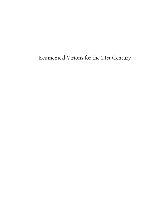Ecumenical Visions for the 21st Century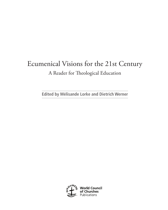# Ecumenical Visions for the 21st Century A Reader for Theological Education

**Edited by Mélisande Lorke and Dietrich Werner**

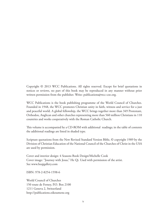Copyright © 2013 WCC Publications. All rights reserved. Except for brief quotations in notices or reviews, no part of this book may be reproduced in any manner without prior written permission from the publisher. Write: publications@wcc-coe.org.

WCC Publications is the book publishing programme of the World Council of Churches. Founded in 1948, the WCC promotes Christian unity in faith, witness and service for a just and peaceful world. A global fellowship, the WCC brings together more than 349 Protestant, Orthodox, Anglican and other churches representing more than 560 million Christians in 110 countries and works cooperatively with the Roman Catholic Church.

This volume is accompanied by a CD-ROM with additional readings; in the table of contents the additional readings are listed in shaded type.

Scripture quotations from the New Revised Standard Version Bible, © copyright 1989 by the Division of Christian Education of the National Council of the Churches of Christ in the USA are used by permission.

Cover and interior design: 4 Seasons Book Design/Michelle Cook Cover image: "Journey with Jesus," He Qi. Used with permission of the artist. See www.heqigallery.com

ISBN: 978-2-8254-1598-6

World Council of Churches 150 route de Ferney, P.O. Box 2100 1211 Geneva 2, Switzerland http://publications.oikoumene.org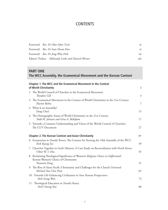## **CONTENTS**

| Foreword Rev. Dr Olav Fykse Tveit                    | ix   |
|------------------------------------------------------|------|
| Foreword Rev. Dr Sam-Hwan Kim                        | xi   |
| Foreword Rev. Dr Jong-Wha Park                       | xii  |
| Editors' Preface Mélisande Lorke and Dietrich Werner | xiii |

## **PART ONE The WCC Assembly, the Ecumenical Movement and the Korean Context**

| <b>Chapter 1. The WCC and the Ecumenical Movement in the Context</b><br>of World Christianity                                                | 3  |
|----------------------------------------------------------------------------------------------------------------------------------------------|----|
| 1. The World Council of Churches in the Ecumenical Movement<br>Theodore Gill                                                                 | 3  |
| 2. The Ecumenical Movement in the Context of World Christianity in the 21st Century<br>Martin Robra                                          | 7  |
| 3. What Is an Assembly?<br>Doug Chial                                                                                                        | 15 |
| 4. The Demographic Status of World Christianity in the 21st Century<br>Todd M. Johnson and Gina A. Bellofatto                                | 17 |
| 5. Towards a Common Understanding and Vision of the World Council of Churches:<br>The CUV Document                                           | 27 |
| <b>Chapter 2. The Korean Context and Asian Christianity</b>                                                                                  | 39 |
| 6. Ecumenism in (South) Korea: The Context for Hosting the 10th Assembly of the WCC<br>Park Kyung-Seo                                        | 39 |
| 7. Churches Together in God's Mission: A Case Study on Reconciliation with North Korea<br>Viktor W. S. Hsu                                   | 45 |
| 8. Reclaiming Theological Significance of Women's Religious Choice-in-Differential:<br>Korean Women's Choice of Christianity<br>Namsoon Kang | 51 |
| 9. The Rise of Asian Pacific Christianity and Challenges for the Church Universal<br>Michael Nai-Chiu Poon                                   | 65 |
| 10. Towards Life-Enhancing Civilization in Asia: Korean Perspectives<br>Park Seong-Won                                                       | 73 |
| 11. Theological Education in (South) Korea<br>Park Choong Koo                                                                                | 80 |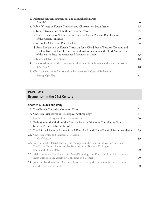| 12. Relations between Ecumenicals and Evangelicals in Asia                                                                                                      |     |
|-----------------------------------------------------------------------------------------------------------------------------------------------------------------|-----|
| Siga Arles                                                                                                                                                      | 86  |
| 13. Public Witness of Korean Churches and Christians on Social Issues                                                                                           | 95  |
| a. Korean Declaration of Faith for Life and Peace                                                                                                               | 95  |
| b. The Declaration of South Korean Churches for the Peaceful Reunification                                                                                      |     |
| of the Korean Peninsula                                                                                                                                         | 100 |
| c. A People's Charter on Peace for Life                                                                                                                         | 104 |
| d. Faith Declaration of Korean Christians for a World Free of Nuclear Weapons and<br>Nuclear Power: A Joint Ecumenical Call to Commemorate the 93rd Anniversary |     |
| of the March First Independence Movement in 1919                                                                                                                | 113 |
| e. Kairos Global Faith Stance                                                                                                                                   | 118 |
| 14. The Contribution of the Ecumenical Movement for Churches and Society in Korea<br>Chai Soo-Il                                                                | 118 |
| 15. Christian Mission in Korea and Its Perspectives: A Critical Reflection                                                                                      |     |
| Heung-Gyu Kim                                                                                                                                                   | 118 |

## **PART TWO Ecumenism in the 21st Century**

| <b>Chapter 3. Church and Unity</b>                                                                                                                                                      | 121 |
|-----------------------------------------------------------------------------------------------------------------------------------------------------------------------------------------|-----|
| 16. The Church: Towards a Common Vision                                                                                                                                                 | 121 |
| 17. Christian Perspectives on Theological Anthropology                                                                                                                                  | 147 |
| 18. God's Call to Unity and Our Commitment                                                                                                                                              | 166 |
| 19. Reflection on the Marks of the Church: Report of the Joint Consultative Group<br>between Pentecostals and the WCC                                                                   | 167 |
| 20. The Spiritual Roots of Ecumenism: A Fresh Look with Some Practical Recommendations                                                                                                  | 173 |
| 21. Christian Unity and Pentecostal Mission<br>Cecil Robeck                                                                                                                             | 189 |
| 22. International Bilateral Theological Dialogues in the Context of World Christianity:<br>The Dar es Salaam Report of the 10th Forum of Bilateral Dialogues<br>(Faith and Order, 2012) | 190 |
| 23. Maintaining the Theological and Moral Teachings and Practices of the Early Church:<br>Inter-Orthodox Pre-Assembly Consultation Statement                                            | 190 |
| 24. Joint Declaration of the Doctrine of Justification by the Lutheran World Federation<br>and the Catholic Church                                                                      | 190 |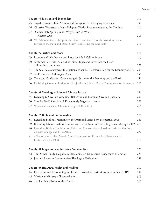| <b>Chapter 4. Mission and Evangelism</b>                                                                                  | 191 |
|---------------------------------------------------------------------------------------------------------------------------|-----|
| 25. Together towards Life: Mission and Evangelism in Changing Landscapes                                                  | 191 |
| 26. Christian Witness in a Multi-Religious World: Recommendations for Conduct                                             | 206 |
| 27. "Come, Holy Spirit": Who? Why? How? So What?                                                                          |     |
| Kirsteen Kim                                                                                                              | 209 |
| 28. We Believe in the Holy Spirit, the Church and the Life of the World to Come:                                          |     |
| Part III of the Faith and Order Study "Confessing the One Faith"                                                          | 214 |
| <b>Chapter 5. Justice and Peace</b>                                                                                       | 215 |
| 29. Economy of Life, Justice, and Peace for All: A Call to Action                                                         | 215 |
| 30. A Moment of Truth: A Word of Faith, Hope, and Love from the Heart<br>of Palestinian Suffering                         | 225 |
| 31. The São Paolo Statement: International Financial Transformation for the Economy of Life                               | 233 |
| 32. An Ecumenical Call to Just Peace                                                                                      | 240 |
| 33. The Accra Confession: Covenanting for Justice in the Economy and the Earth                                            | 247 |
| 34. Reclaiming Communication for Life, Justice and Peace: Busan Communication Statement                                   | 250 |
|                                                                                                                           |     |
| <b>Chapter 6. Theology of Life and Climate Justice</b>                                                                    | 251 |
| 35. Listening to Creation Groaning: Reflection and Notes on Creation Theology                                             | 251 |
| 36. Care for God's Creation: A Dangerously Neglected Theme                                                                | 259 |
| 37. WCC Statements on Climate Change (2000-2011)                                                                          | 265 |
|                                                                                                                           |     |
| <b>Chapter 7. Bible and Hermeneutics</b>                                                                                  | 266 |
| 38. Rereading Biblical Traditions on the Promised Land: Bern Perspective, 2008                                            | 266 |
| 39. Rereading Biblical Traditions on Violence in the Name of God: Hofgeismar Message, 2012                                | 268 |
| 40. Rereading Biblical Traditions on Crisis and Catastrophes as Used in Christian Zionism,<br>Climate Change and HIV/AIDS | 270 |
| 41. A Treasure in Earthen Vessels: Study Document on Ecumenical Hermeneutics:                                             |     |
| Faith and Order 1998                                                                                                      | 270 |
|                                                                                                                           |     |
| <b>Chapter 8. Migration and Inclusive Communities</b>                                                                     | 271 |
| 42. The "Other" Is My Neighbour: Developing an Ecumenical Response to Migration                                           | 271 |
| 43. Just and Inclusive Communities: Theological Reflections                                                               | 288 |
| Chapter 9. HIV/AIDS, Health and Healing                                                                                   | 297 |
| 44. Expanding and Expounding Resilience: Theological Institutions Responding to HIV                                       | 297 |
| 45. Mission as Ministry of Reconciliation                                                                                 | 303 |
| 46. The Healing Mission of the Church                                                                                     | 317 |
|                                                                                                                           |     |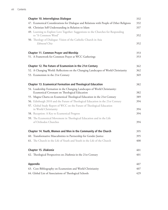| <b>Chapter 10. Interreligious Dialogue</b>                                                              |     |
|---------------------------------------------------------------------------------------------------------|-----|
| 47. Ecumenical Considerations for Dialogue and Relations with People of Other Religions                 | 332 |
| 48. Christian Self-Understanding in Relation to Islam                                                   | 337 |
| 49. Learning to Explore Love Together: Suggestions to the Churches for Responding<br>to "A Common Word" | 352 |
| 50. Theology of Dialogue: Vision of the Catholic Church in Asia                                         |     |
| Edmund Chia                                                                                             | 352 |
| <b>Chapter 11. Common Prayer and Worship</b>                                                            | 353 |
| 51. A Framework for Common Prayer at WCC Gatherings                                                     | 353 |
| Chapter 12. The Future of Ecumenism in the 21st Century                                                 | 362 |
| 52. A Changing World: Reflections on the Changing Landscapes of World Christianity                      | 362 |
| 53. Ecumenism in the 21st Century                                                                       | 369 |
| <b>Chapter 13. Ecumenical Formation and Theological Education</b>                                       | 382 |
| 54. Leadership Formation in the Changing Landscapes of World Christianity:                              |     |
| Ecumenical Covenant on Theological Education                                                            | 382 |
| 55. Magna Charta on Ecumenical Theological Education in the 21st Century                                | 389 |
| 56. Edinburgh 2010 and the Future of Theological Education in the 21st Century                          | 394 |
| 57. Global Study Report of WCC on the Future of Theological Education<br>in World Christianity          | 394 |
| 58. Reception: A Key to Ecumenical Progress                                                             | 394 |
| 59. The Ecumenical Movement in Theological Education and in the Life                                    |     |
| of Orthodox Churches                                                                                    | 394 |
| Chapter 14. Youth, Women and Men in the Community of the Church                                         | 395 |
| 60. Transformative Masculinities in Partnership for Gender Justice                                      | 395 |
| 61. The Church in the Life of Youth and Youth in the Life of the Church                                 | 400 |
| Chapter 15. Diakonia                                                                                    | 401 |
| 62. Theological Perspectives on Diakonia in the 21st Century                                            | 401 |
|                                                                                                         |     |
| <b>Appendix</b>                                                                                         | 407 |
| 63. Core Bibliography on Ecumenism and World Christianity                                               | 407 |
| 64. Global List of Associations of Theological Schools                                                  | 429 |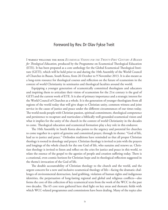#### Foreword by Rev. Dr Olav Fykse Tveit

I warmly welcome the book *Ecumenical Visions for the Twenty-First Century: A Reader for Theological Education,* produced by the Programme on Ecumenical Theological Education (ETE). It has been prepared as a core anthology for the Global Ecumenical Theological Institute (GETI), which will be held prior to and during the 10th Assembly of the World Council of Churches in Busan, South Korea, from 26 October to 9 November 2013. It is also meant as a long-term resource for theological courses and reflection on the future of ecumenism in the context of world Christianity in seminaries and theological faculties around the world.

Equipping a younger generation of ecumenically committed theologians and educators and inspiring them to articulate their vision of ecumenism for the 21st century is the goal of GETI and the current work of ETE. It is also of primary importance and a strategic interest for the World Council of Churches as a whole. It is the generation of younger theologians from all regions of the world today that will give shape to Christian unity, common witness and joint service in the cause of justice and peace under the different circumstances of our times today. The world needs people with Christian passion, spiritual commitment, theological competence and persistence to recapture and rearticulate a biblically well-grounded ecumenical vision and what it implies for the unity of the church in the context of world Christianity in the decades to come. Theological education and ecumenical formation play a key role in this endeavor.

The 10th Assembly in South Korea also points to the urgency and potential for churches to come together in a spirit of genuine and committed prayer, through its theme: "God of life, lead us to justice and peace." Orthodox traditions have reminded us that all proper Christian theology is rooted in doxology and prayer. Christian theology is invited to join with the prayers and longings of the whole church for the one God of life, who sustains and renews us. Christian theology is invited to listen and reflect on the cries for justice and peace in this world, to relate the essence of the gospel to the agonies of people and creation suffering today. There is a creational, even cosmic horizon for Christian hope and its theological reflection suggested in the theme's invocation of the God of life.

The double accountability of Christian theology to the church and the world, and the urgent concern for a new and inclusive ecumenical theology of life—facing the dramatic challenges of environmental destruction, land grabbing, violation of human rights and indigenous identities, the perpetuation of long-lasting regional and global and religious conflicts—also forms the core of this collection of key ecumenical texts from the work of the WCC in the past two decades. The 65 core texts gathered here shed light on key areas and thematic fields with which WCC-related programmes and commissions have been dealing. Many of the topics also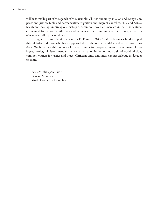will be formally part of the agenda of the assembly: Church and unity, mission and evangelism, peace and justice, Bible and hermeneutics, migration and migrant churches, HIV and AIDS, health and healing, interreligious dialogue, common prayer, ecumenism in the 21st century, ecumenical formation, youth, men and women in the community of the church, as well as *diakonia* are all represented here.

I congratulate and thank the team in ETE and all WCC staff colleagues who developed this initiative and those who have supported this anthology with advice and textual contributions. We hope that this volume will be a stimulus for deepened interest in ecumenical dialogue, theological discernment and active participation in the common tasks of world mission, common witness for justice and peace, Christian unity and interreligious dialogue in decades to come.

*Rev. Dr Olav Fykse Tveit* General Secretary World Council of Churches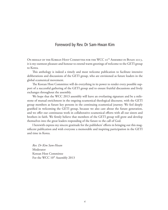#### Foreword by Rev. Dr Sam-Hwan Kim

ON BEHALF OF THE KOREAN HOST COMMITTEE FOR THE WCC 10<sup>TH</sup> ASSEMBLY IN BUSAN 2013, it is my outmost pleasure and honour to extend warm greetings of welcome to the GETI group to Korea.

This anthology is indeed a timely and most welcome publication to facilitate intensive deliberations and discussions of the GETI group, who are envisioned as future leaders in the global ecumenical movement.

The Korean Host Committee will do everything in its power to render every possible support of a successful gathering of the GETI group and to ensure fruitful discussions and lively exchanges throughout the assembly.

We hope that the WCC 2013 assembly will leave an everlasting signature and be a milestone of mutual enrichment in the ongoing ecumenical theological discourse, with the GETI group members as future key persons in the continuing ecumenical journey. We feel deeply gratified in welcoming the GETI group, because we also care about the future generation, and we offer our continuous work in collaborative ecumenical efforts with all our sisters and brothers in faith. We firmly believe that members of the GETI group will grow and develop themselves into the great leaders responding of the future to the call of God.

I herewith express my sincere gratitude for the publishers' efforts in bringing out this magnificent publication and wish everyone a memorable and inspiring participation in the GETI and time in Korea.

*Rev. Dr Kim Sam-Hwan* Moderator Korean Host Committee For the WCC  $10^{th}$  Assembly 2013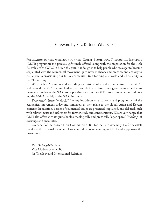#### Foreword by Rev. Dr Jong-Wha Park

Publication of this workbook for the Global Ecumenical Theological Institute (GETI) programme is a precious gift timely offered, along with the preparation for the 10th Assembly of the WCC in Busan this year. It is designed to help people who are eager to become acquainted with the ecumenical movement up to now, in theory and practice, and actively to participate in envisioning our future ecumenism, transforming our world and Christianity in the 21st century.

With such a "common understanding and vision" of a wider ecumenism in the WCC and beyond the WCC, young leaders are sincerely invited from among our member and nonmember churches of the WCC to be positive actors in the GETI programmes before and during the 10th Assembly of the WCC in Busan.

*Ecumenical Visions for the 21<sup>st</sup> Century* introduces vital concerns and programmes of the ecumenical movement today and tomorrow as they relate to the global, Asian and Korean contexts. In addition, dozens of ecumenical issues are presented, explained, and debated, each with relevant texts and references for further study and considerations. We are very happy that GETI also offers with its guide book a theologically and practically "open space" (*Madang*) of exchange and encounter.

On behalf of the Korean Host Committee(KHC) for the 10th Assembly, I offer heartfelt thanks to the editorial team, and I welcome all who are coming to GETI and supporting the programme.

*Rev. Dr Jong-Wha Park* Vice Moderator of KHC for Theology and International Relations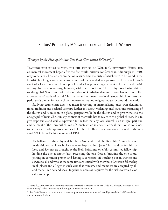#### Editors' Preface by Mélisande Lorke and Dietrich Werner

#### *"Brought by the Holy Spirit into One Fully Committed Fellowship"*

Teaching ecumenism is vital for the future of World Christianity. When the ecumenical movement began after the first world mission conference in Edinburgh in 1910, only some 300 Christian denominations existed (the majority of which were to be found in the North). Teaching about ecumenism could still be regarded as a prerogative for a small *avantgarde* of selected western church people and a few pioneering ecumenical leaders in the 20th century. In the 21st century, however, with the majority of Christianity now having shifted to the global South and with the number of Christian denominations having multiplied exponentially,<sup>1</sup> study of world Christianity and ecumenism—in all geographical contexts and periods—is a must for every church representative and religious educator around the world.

Studying ecumenism does not mean forgetting or marginalizing one's own denominational tradition and ecclesial identity. Rather it is about widening one's own understanding of the church and its mission to a global perspective. To be the church and to give witness to the one gospel of Jesus Christ in any context of the world has to relate to the global church. It is to give responsible and visible expression to the fact that any local church is an integral part and embodiment of the universal church of Christ, which in ancient creedal tradition is confessed to be the one, holy, apostolic and catholic church. This conviction was expressed in the oftcited WCC New Delhi statement of 1961:

We believe that the unity which is both God's will and his gift to his Church is being made visible as all in each place who are baptized into Jesus Christ and confess him as Lord and Saviour are brought by the Holy Spirit into one fully committed fellowship, holding the one apostolic faith, preaching the one Gospel, breaking the one bread, joining in common prayer, and having a corporate life reaching out in witness and service to all and who at the same time are united with the whole Christian fellowship in all places and all ages in such wise that ministry and members are accepted by all, and that all can act and speak together as occasion requires for the tasks to which God calls his people.<sup>2</sup>

<sup>1.</sup> Some 40,000 Christian denominations were estimated to exist in 2010, see: Todd M. Johnson, Kenneth R. Ross (eds), *Atlas of Global Christianity*, Edinburgh University Press 2010.

<sup>2.</sup> See the full text at: http://www.oikoumene.org/en/resources/documents/assembly/new-delhi-1961/new-delhistatement-on-unity.html.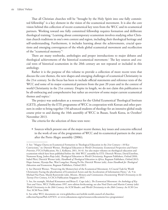That all Christian churches will be "brought by the Holy Spirit into one fully committed fellowship" is a key element in the vision of the ecumenical movement. It is also the core vision behind this collection of recent ecumenical key texts from the WCC and its ecumenical partners. Working toward one fully committed fellowship requires formation and deliberate theological training.<sup>3</sup> Learning about contemporary ecumenism involves studying other Christian church traditions in one's own context and region, including their theological heritage and self-understanding. Furthermore, it includes learning about the achievements, crucial questions and emerging convergences of the whole global ecumenical movement and recollection of the "ecumenical memory."4

There are many textbooks, anthologies and proper introductions to major debates and theological achievements of the historical ecumenical movement.5 The key sources and crucial texts of historical ecumenism in the 20th century are not repeated or included in this anthology.

Rather it is the purpose of this volume to provide a collection of more recent texts that discuss the core themes, the new shapes and emerging challenges of ecumenical Christianity in the 21st century. So the focus has been to include official statements and reference texts of the WCC and some of its major ecumenical partners from the past 20 years and in the context of world Christianity in the 21st century. Despite its length, we do not claim this publication to be all-embracing and comprehensive but rather an overview of some major current ecumenical themes and topics.<sup>6</sup>

The project was undertaken as a resource for the Global Ecumenical Theological Institute (GETI), planned by the ETE programme of WCC in cooperation with Korean and other partners in order to bring together 150 advanced students of theology for an intensive global study course prior to and during the 10th assembly of WCC in Busan, South Korea, in October/ November 2013.

The criteria for the selection of these texts were:

• Sources which present one of the major recent themes, key issues and concerns reflected in the work of one of the programmes of WCC and its ecumenical partners in the years after the Porto Alegre assembly (2006);

<sup>3.</sup> See: "Magna Charta on Ecumenical Formation in Theological Education in the 21st Century—10 Key Convictions," in: Dietrich Werner, *Theological Education in World Christianity: Ecumenical Perspectives and Future Priorities*, PTCA Publication, No 2, Kolkatta, 2011, 34-41. See also major volumes on theological education and ecumenism which have been published before the 10th WCC assembly by ETE: Dietrich Werner, David Esterline, Namsoon Kang, Joshva Raja (eds), *Theological Education in World Christianity*, Regnum Publishers, Oxford 2010; Isabel Phiri, Dietrich Werner (eds), *Handbook of Theological Education in Africa*, Regnum Publishers, Oxford 2013; Hope Antone, Hyunju Bae, Wati Longchar, Huang Po Ho, Dietrich Werner (eds), *Asian Handbook for Theological Education and Ecumenism*, Regnum Publishers, Oxford 2013.

<sup>4.</sup> See Dietrich Werner, "Preserving the Memory(ies) of the Ecumenical Movement: A Crucial Task for World Christianity Facing the pluralisation of Ecumenical Actors and the Acceleration of Information Flows," ch. 9 in Michael Nai Poon, Marek Rostrowski (eds), *Mission, Memory and Communion; Documenting World Christianity in the Twenty-First Century*, A CSCA Publication Singapore 2013.

<sup>5.</sup> See, for example, Michael Kinnamon and Brian E. Cope (eds.), *The Ecumenical Movement: An Anthology of Key Texts and Voices*, WCC Publications 1997, new edition forthcoming; see also Noel Davis and Martin Conway (eds): *World Christianity in the 20th Century: An SCM Reader*, and *World Christianity in the 20th Century: An SCM Core Text*, SCM Press 2008.

<sup>6.</sup> See other WCC documents on: www.globethics.net/web/de-world-council-of-churchescollection?layoutPlid=4297674 or www.oikoumene.org/en/resources/documents/wcc-programmes/.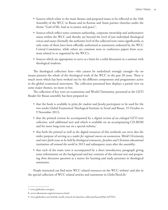- Sources which relate to the main themes and proposed issues to be reflected in the 10th Assembly of the WCC in Busan and its Korean and Asian partner churches under the theme "God of life, lead us to justice and peace";
- Sources which reflect some common authorship, corporate ownership and authoritative status within the WCC and thereby are beyond the level of just individual theological voices and essays (formally the authority level of the collected texts varies significantly, as only some of them have been officially authorized as statements endorsed by the WCC Central Committee, while others are common texts or conference papers from occasions related to or organized by the WCC);
- Sources which are appropriate to serve as a basis for a solid discussion in a seminar with theological students.

The theological collection here—this cannot be underlined strongly enough—by no means presents the whole of the theological work of the WCC in the past 20 years. There is much more which has been worked out by the different components and programmes active in the global ecumenical movement. The collection presented here displays a partial view on some major themes, no more or less.

The collection of key texts on ecumenism and World Christianity, presented as the GETI Reader for Busan assembly has been prepared so:

- that the book is available in print *for student and faculty participants* to be used for the two weeks Global Ecumenical Theological Institute in Seoul and Busan, 25 October to 9 November 2013;
- that the printed version be accompanied by a *digital version of an enlarged GETI texts collection, with additional texts* and which is available on an accompanying CD-ROM and for more long-term use on a special website;<sup>7</sup>
- that both the printed as well as the digital resources of this textbook can serve also the wider purpose of serving as a *reader for regional courses on ecumenism, World Christianity and inter-faith issues to be held by theological seminaries, faculties and Christian educational institutions all around the world* in 2013 and subsequent years after the assembly;
- that each of the main texts is accompanied by a short introductory paragraph giving some information on the background and key contents of the relevant text and proposing *three discussion questions* as a starter for learning and study processes in theological seminaries.

People interested can find more WCC related resources on the WCC website<sup>s</sup> and also in the special collection of WCC-related articles and statements in GlobeTheoLib.<sup>9</sup>

<sup>7.</sup> www.globethics.net/geti.

<sup>8.</sup> www.oikoumene.org/en/resources.html.

<sup>9.</sup> www.globethics.net/web/de-world-council-of-churches-collection?layoutPlid=4297674.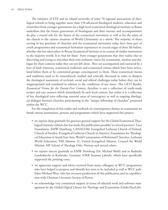The initiative of ETE and its related networks of some 70 regional associations of theological schools to bring together more than 150 advanced theological students, educators and researchers from younger generations for a high level ecumenical theological institute in Busan underlines that the future generations of theologians and their nurture and accompaniment do play a crucial role for the future of the ecumenical movement as well as for the unity of the church in the current situation of World Christianity as a whole. The majority of those serving in key positions of churches and the ecumenical movement today have been part of youth programmes and ecumenical formation experiences in crucial stages of their life before, whether this has taken place in Bossey Ecumenical Institute or in courses of similar institutions in the majority world. It is vital for those from younger generations that they realize that in discerning and trying to articulate their own authentic vision for ecumenism, mission and dialogue for their contexts today they are not left alone. They are accompanied and nurtured by a host of faith witnesses, ecumenical traditions and ecumenical visions which have been articulated before them or by committed groups contemporary to them. These ecumenical visions and traditions need to be remembered, studied and critically discussed in order to sharpen the theological assessment of ecclesial, social and ethical challenges today before they can be reappropriated and translated in relation to the conditions of our times. This GETI Reader, *Ecumenical Visions for the Twenty-First Century*, therefore is not a collection of ready-made recipes and easy answers which immediately fit each local context, but rather it is a collection of key theological texts reflecting essential areas of convergence as well as ongoing theological dialogue between churches participating in the "unique fellowship of churches" presented within the WCC.

For the completion of this reader and textbook on contemporary themes in ecumenism we thank various institutions, persons and programmes which have supported this project:

- we express deep gratitude for gracious general support for the Global Ecumenical Theological Institute (which also has made this publication possible) to several partners: Luce Foundation, EMW Hamburg, CANACOM, Evangelical Lutheran Church of Finland, Church of Sweden, Evangelical Lutheran Church in America, Foundation for Theological Education in South East Asia, World Communion of Reformed Churches, Lutheran World Federation, FAP, Mission 21, United Evangelical Mission, Council for World Mission, MF School of Theology Oslo, Norway and several others.
- we express sincere gratitude to EMW Hamburg (Dr. Michael Biehl) and to Badische Landeskirche in Karlsruhe, Germany (OKR Susanne Labsch), which have specifically supported the printing costs;
- we appreciate support and advice received from many colleagues in WCC programmes who have helped to propose and identify key texts to be included as well as WCC publisher Michael West, who has overseen production of this publication and its copublication with Christian Literature Society of Korea;
- we acknowledge very committed support in terms of editorial work and software management by the Global Digital Library for Theology and Ecumenism (GlobeTheoLib);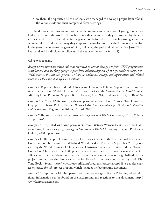• we thank the typesetter, Michelle Cook, who managed to develop a proper layout for all the various texts and their complex different settings.

We do hope that this volume will serve the training and education of young ecumenical leaders all around the world. Through reading these texts, may they be inspired by the ecumenical work that has been done in the generation before them. Through learning about the ecumenical past and present, may they empower themselves to shape the future of ecumenism in the years to come—to the glory of God, following the path and witness which Jesus Christ has mandated his disciples to follow until the ends of the earth (Acts 1: 8).

#### Acknowledgements

*Except where otherwise stated, all texts reprinted in this anthology are from WCC programmes, consultations and working groups. Apart from acknowledgment of our gratitude to other, non-WCC sources, this list also provides or links to additional background information and related websites on the issues and agencies involved:* 

*Excerpt 4:* Reprinted from Todd M. Johnson and Gina A. Bellofatto, "Upon Closer Examination: The Status of World Christianity," in *River of God: An Introduction to World Mission*, edited by Doug Priest and Stephen Burris, Eugene, Ore.: Wipf and Stock, 2012, pp.108–124.

*Excerpts 6, 7, 9, 10, 12:* Reprinted with kind permission from: Hope Antone, Wati Longchar, Huynju Bae, Huang Po Ho, Dietrich Werner (eds), *Asian Handbook for Theological Education and Ecumenism,* Regnum Publishers, Oxford, 2013.

*Excerpt 8:* Reprinted with kind permission from *Journal of World Christianity,* 2010, Volume 3:1, pp.18-46.

*Excerpt 11*: Reprinted with kind permission from: Dietrich Werner, David Esterline, Namsoon Kang, Joshva Raja (eds), *Theological Education in World Christianity,* Regnum Publishers, Oxford, 2010, pp. 436-42.

*Excerpt 13c:* The People's Forum Peace for Life traces its roots to the International Ecumenical Conference on Terrorism in a Globalised World, held in Manila in September 2002 (sponsored by the World Council of Churches, the Christian Conference of Asia and the National Council of Churches in the Philippines), where it was resolved to form a new ecumenical alliance to gather faith-based resistance to the terror of war and economic globalisation. The project proposal for the People's Charter for Peace for Life was coordinated by Prof. Kim Yong-Bock, Seoul: http://www.peaceforlife.org/programs/peacecharter/188-a-peoples-charter-on-peace-for-life-project-proposal;which includes the background document.

*Excerpt 30:* Reprinted with kind permission from homepage of Kairos Palestine, where additional information can be found on the background and reactions to this document: http:// www.kairospalestine.ps/.